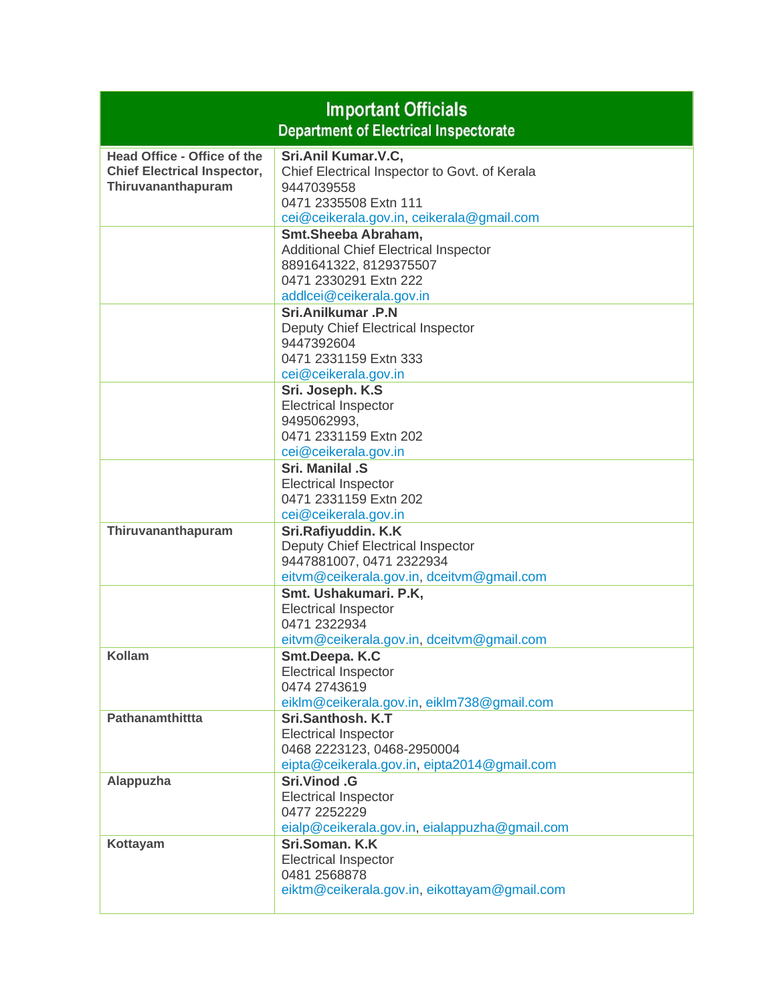| <b>Important Officials</b><br><b>Department of Electrical Inspectorate</b>              |                                                                                                                                                                                                 |
|-----------------------------------------------------------------------------------------|-------------------------------------------------------------------------------------------------------------------------------------------------------------------------------------------------|
| Head Office - Office of the<br><b>Chief Electrical Inspector,</b><br>Thiruvananthapuram | Sri.Anil Kumar.V.C,<br>Chief Electrical Inspector to Govt. of Kerala<br>9447039558<br>0471 2335508 Extn 111                                                                                     |
|                                                                                         | cei@ceikerala.gov.in, ceikerala@gmail.com<br>Smt.Sheeba Abraham,<br><b>Additional Chief Electrical Inspector</b><br>8891641322, 8129375507<br>0471 2330291 Extn 222<br>addlcei@ceikerala.gov.in |
|                                                                                         | Sri.Anilkumar .P.N<br>Deputy Chief Electrical Inspector<br>9447392604<br>0471 2331159 Extn 333<br>cei@ceikerala.gov.in                                                                          |
|                                                                                         | Sri. Joseph. K.S<br><b>Electrical Inspector</b><br>9495062993,<br>0471 2331159 Extn 202<br>cei@ceikerala.gov.in                                                                                 |
|                                                                                         | Sri. Manilal .S<br><b>Electrical Inspector</b><br>0471 2331159 Extn 202<br>cei@ceikerala.gov.in                                                                                                 |
| Thiruvananthapuram                                                                      | Sri.Rafiyuddin. K.K<br>Deputy Chief Electrical Inspector<br>9447881007, 0471 2322934<br>eitvm@ceikerala.gov.in, dceitvm@gmail.com                                                               |
|                                                                                         | Smt. Ushakumari. P.K,<br><b>Electrical Inspector</b><br>0471 2322934<br>eitvm@ceikerala.gov.in, dceitvm@gmail.com                                                                               |
| Kollam                                                                                  | Smt.Deepa. K.C<br><b>Electrical Inspector</b><br>0474 2743619<br>eiklm@ceikerala.gov.in, eiklm738@gmail.com                                                                                     |
| Pathanamthittta                                                                         | Sri.Santhosh. K.T<br><b>Electrical Inspector</b><br>0468 2223123, 0468-2950004<br>eipta@ceikerala.gov.in, eipta2014@gmail.com                                                                   |
| Alappuzha                                                                               | Sri.Vinod .G<br><b>Electrical Inspector</b><br>0477 2252229<br>eialp@ceikerala.gov.in, eialappuzha@gmail.com                                                                                    |
| Kottayam                                                                                | Sri.Soman, K.K.<br><b>Electrical Inspector</b><br>0481 2568878<br>eiktm@ceikerala.gov.in, eikottayam@gmail.com                                                                                  |